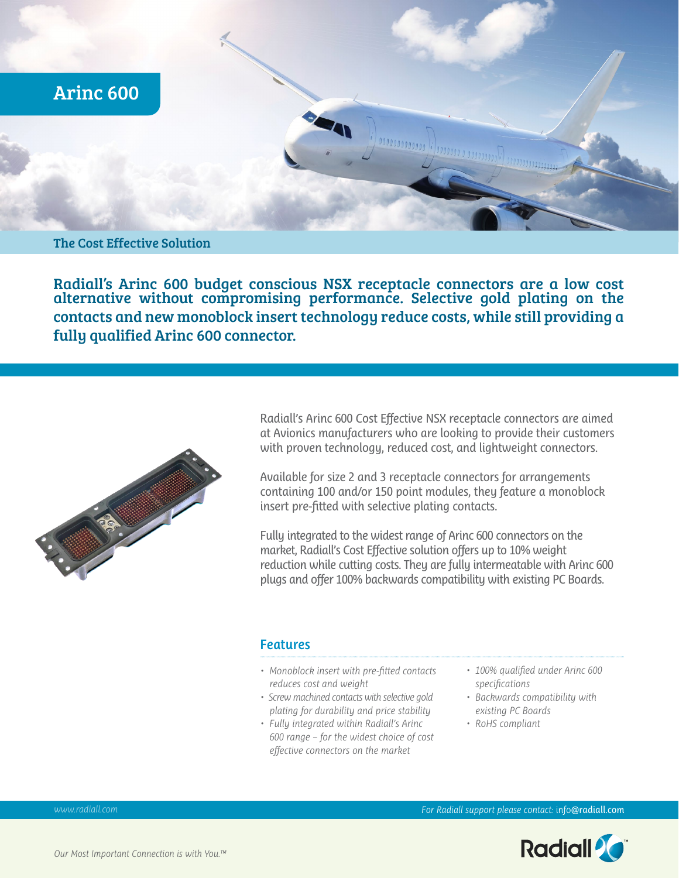

## The Cost Effective Solution

Radiall's Arinc 600 budget conscious NSX receptacle connectors are a low cost alternative without compromising performance. Selective gold plating on the contacts and new monoblock insert technology reduce costs, while still providing a fully qualified Arinc 600 connector.



Radiall's Arinc 600 Cost Effective NSX receptacle connectors are aimed at Avionics manufacturers who are looking to provide their customers with proven technology, reduced cost, and lightweight connectors.

Available for size 2 and 3 receptacle connectors for arrangements containing 100 and/or 150 point modules, they feature a monoblock insert pre-fitted with selective plating contacts.

Fully integrated to the widest range of Arinc 600 connectors on the market, Radiall's Cost Effective solution offers up to 10% weight reduction while cutting costs. They are fully intermeatable with Arinc 600 plugs and offer 100% backwards compatibility with existing PC Boards.

### **Features**

- *• Monoblock insert with pre-fitted contacts reduces cost and weight*
- *Screw machined contacts with selective gold plating for durability and price stability*
- *• Fully integrated within Radiall's Arinc 600 range – for the widest choice of cost effective connectors on the market*
- *• 100% qualified under Arinc 600 specifications*
- *• Backwards compatibility with existing PC Boards*
- *• RoHS compliant*